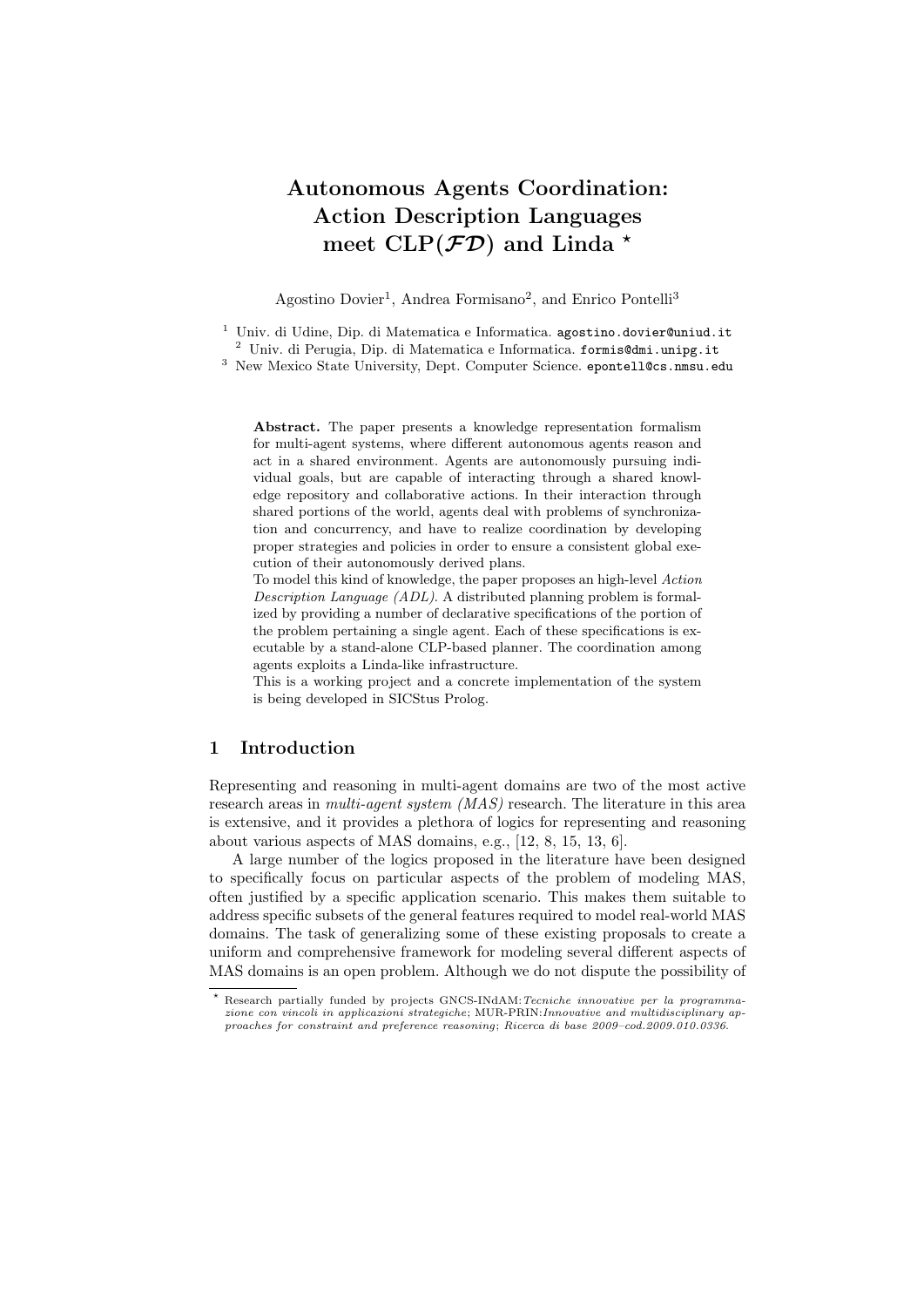# **Autonomous Agents Coordination: Action Description Languages meet CLP(***FD***) and Linda** *<sup>⋆</sup>*

Agostino Dovier<sup>1</sup>, Andrea Formisano<sup>2</sup>, and Enrico Pontelli<sup>3</sup>

<sup>1</sup> Univ. di Udine, Dip. di Matematica e Informatica. agostino.dovier@uniud.it

<sup>2</sup> Univ. di Perugia, Dip. di Matematica e Informatica. formis@dmi.unipg.it

<sup>3</sup> New Mexico State University, Dept. Computer Science. epontell@cs.nmsu.edu

**Abstract.** The paper presents a knowledge representation formalism for multi-agent systems, where different autonomous agents reason and act in a shared environment. Agents are autonomously pursuing individual goals, but are capable of interacting through a shared knowledge repository and collaborative actions. In their interaction through shared portions of the world, agents deal with problems of synchronization and concurrency, and have to realize coordination by developing proper strategies and policies in order to ensure a consistent global execution of their autonomously derived plans.

To model this kind of knowledge, the paper proposes an high-level *Action Description Language (ADL)*. A distributed planning problem is formalized by providing a number of declarative specifications of the portion of the problem pertaining a single agent. Each of these specifications is executable by a stand-alone CLP-based planner. The coordination among agents exploits a Linda-like infrastructure.

This is a working project and a concrete implementation of the system is being developed in SICStus Prolog.

## **1 Introduction**

Representing and reasoning in multi-agent domains are two of the most active research areas in *multi-agent system (MAS)* research. The literature in this area is extensive, and it provides a plethora of logics for representing and reasoning about various aspects of MAS domains, e.g., [12, 8, 15, 13, 6].

A large number of the logics proposed in the literature have been designed to specifically focus on particular aspects of the problem of modeling MAS, often justified by a specific application scenario. This makes them suitable to address specific subsets of the general features required to model real-world MAS domains. The task of generalizing some of these existing proposals to create a uniform and comprehensive framework for modeling several different aspects of MAS domains is an open problem. Although we do not dispute the possibility of

*<sup>⋆</sup>* Research partially funded by projects GNCS-INdAM:*Tecniche innovative per la programmazione con vincoli in applicazioni strategiche*; MUR-PRIN:*Innovative and multidisciplinary approaches for constraint and preference reasoning*; *Ricerca di base 2009–cod.2009.010.0336*.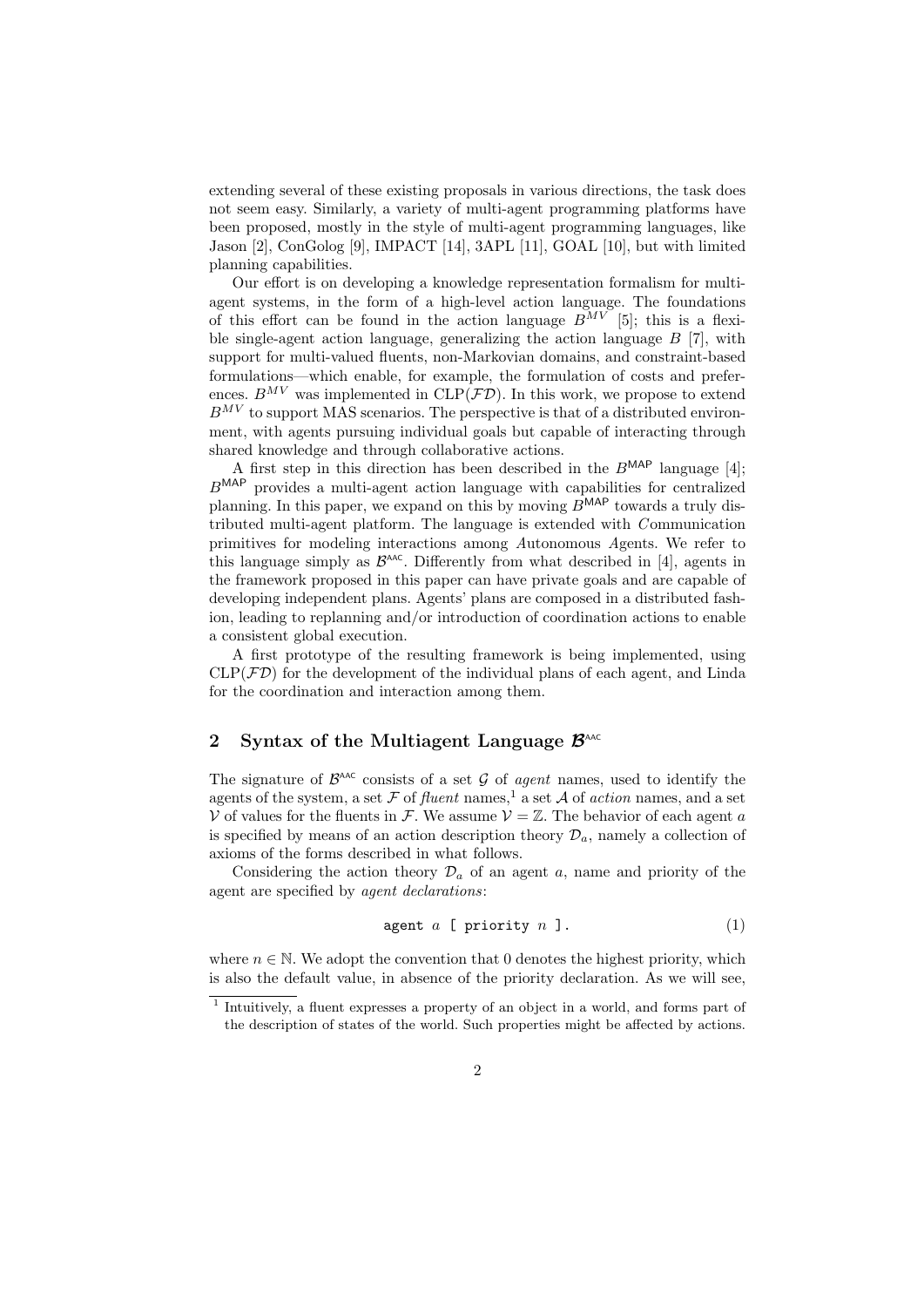extending several of these existing proposals in various directions, the task does not seem easy. Similarly, a variety of multi-agent programming platforms have been proposed, mostly in the style of multi-agent programming languages, like Jason [2], ConGolog [9], IMPACT [14], 3APL [11], GOAL [10], but with limited planning capabilities.

Our effort is on developing a knowledge representation formalism for multiagent systems, in the form of a high-level action language. The foundations of this effort can be found in the action language  $\overrightarrow{B}^{MV}$  [5]; this is a flexible single-agent action language, generalizing the action language *B* [7], with support for multi-valued fluents, non-Markovian domains, and constraint-based formulations—which enable, for example, the formulation of costs and preferences.  $B^{MV}$  was implemented in  $CLP(\mathcal{FD})$ . In this work, we propose to extend  $B^{MV}$  to support MAS scenarios. The perspective is that of a distributed environment, with agents pursuing individual goals but capable of interacting through shared knowledge and through collaborative actions.

A first step in this direction has been described in the *B*MAP language [4]; *B*MAP provides a multi-agent action language with capabilities for centralized planning. In this paper, we expand on this by moving *B*<sup>MAP</sup> towards a truly distributed multi-agent platform. The language is extended with *C* ommunication primitives for modeling interactions among *A*utonomous *A*gents. We refer to this language simply as  $\mathcal{B}^{\text{AAC}}$ . Differently from what described in [4], agents in the framework proposed in this paper can have private goals and are capable of developing independent plans. Agents' plans are composed in a distributed fashion, leading to replanning and/or introduction of coordination actions to enable a consistent global execution.

A first prototype of the resulting framework is being implemented, using  $CLP(\mathcal{FD})$  for the development of the individual plans of each agent, and Linda for the coordination and interaction among them.

## **2** Syntax of the Multiagent Language  $\mathcal{B}^{\text{AAC}}$

The signature of  $\mathcal{B}^{\text{AAC}}$  consists of a set  $\mathcal G$  of *agent* names, used to identify the agents of the system, a set  $\mathcal F$  of *fluent* names,<sup>1</sup> a set  $\mathcal A$  of *action* names, and a set *V* of values for the fluents in *F*. We assume  $V = \mathbb{Z}$ . The behavior of each agent *a* is specified by means of an action description theory  $\mathcal{D}_a$ , namely a collection of axioms of the forms described in what follows.

Considering the action theory  $\mathcal{D}_a$  of an agent *a*, name and priority of the agent are specified by *agent declarations*:

$$
\text{agent } a \ [ \text{ priority } n \ ]. \tag{1}
$$

where  $n \in \mathbb{N}$ . We adopt the convention that 0 denotes the highest priority, which is also the default value, in absence of the priority declaration. As we will see,

<sup>&</sup>lt;sup>1</sup> Intuitively, a fluent expresses a property of an object in a world, and forms part of the description of states of the world. Such properties might be affected by actions.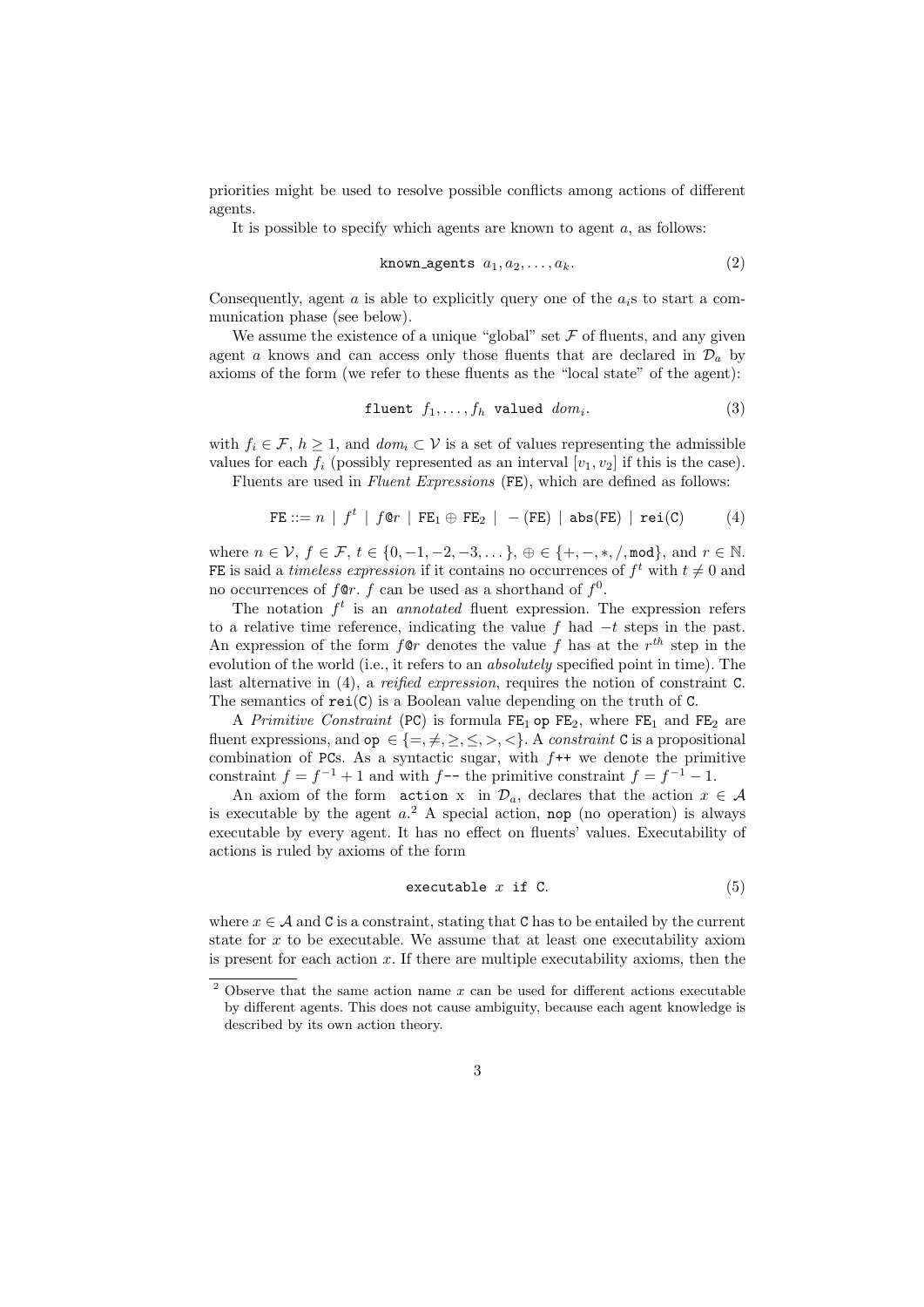priorities might be used to resolve possible conflicts among actions of different agents.

It is possible to specify which agents are known to agent *a*, as follows:

$$
\texttt{known\_agents} \ \ a_1, a_2, \dots, a_k. \tag{2}
$$

Consequently, agent  $\alpha$  is able to explicitly query one of the  $a_i$ <sup>s</sup> to start a communication phase (see below).

We assume the existence of a unique "global" set  $\mathcal F$  of fluents, and any given agent *a* knows and can access only those fluents that are declared in  $\mathcal{D}_a$  by axioms of the form (we refer to these fluents as the "local state" of the agent):

$$
\text{fluent } f_1, \dots, f_h \text{ valued } dom_i. \tag{3}
$$

with  $f_i \in \mathcal{F}, h \geq 1$ , and  $dom_i \subset \mathcal{V}$  is a set of values representing the admissible values for each  $f_i$  (possibly represented as an interval  $[v_1, v_2]$  if this is the case).

Fluents are used in *Fluent Expressions* (FE), which are defined as follows:

$$
\texttt{FE} ::= n \mid f^t \mid f \texttt{@} r \mid \texttt{FE}_1 \oplus \texttt{FE}_2 \mid - (\texttt{FE}) \mid \texttt{abs}(\texttt{FE}) \mid \texttt{rei}(\texttt{C}) \tag{4}
$$

where  $n \in V$ ,  $f \in \mathcal{F}$ ,  $t \in \{0, -1, -2, -3, \dots\}$ ,  $\oplus \in \{+, -, *, /, \text{mod}\}$ , and  $r \in \mathbb{N}$ . FE is said a *timeless expression* if it contains no occurrences of  $f^t$  with  $t \neq 0$  and no occurrences of  $f \circ r$ .  $f$  can be used as a shorthand of  $f^0$ .

The notation  $f^t$  is an *annotated* fluent expression. The expression refers to a relative time reference, indicating the value *f* had *−t* steps in the past. An expression of the form  $f \circ r$  denotes the value  $f$  has at the  $r^{th}$  step in the evolution of the world (i.e., it refers to an *absolutely* specified point in time). The last alternative in (4), a *reified expression*, requires the notion of constraint C. The semantics of  $\text{rei}(C)$  is a Boolean value depending on the truth of C.

A *Primitive Constraint* (PC) is formula  $FE_1$  op  $FE_2$ , where  $FE_1$  and  $FE_2$  are fluent expressions, and  $op \in \{=,\neq,>,<,\leq,>,\leq\}$ . A *constraint* C is a propositional combination of PCs. As a syntactic sugar, with *f*++ we denote the primitive constraint  $f = f^{-1} + 1$  and with  $f$ -- the primitive constraint  $f = f^{-1} - 1$ .

An axiom of the form action x in  $\mathcal{D}_a$ , declares that the action  $x \in \mathcal{A}$ is executable by the agent  $a^2$ . A special action, nop (no operation) is always executable by every agent. It has no effect on fluents' values. Executability of actions is ruled by axioms of the form

$$
\textbf{executable} \ \ x \ \ \text{if} \ \ \text{C.} \tag{5}
$$

where  $x \in A$  and C is a constraint, stating that C has to be entailed by the current state for *x* to be executable. We assume that at least one executability axiom is present for each action *x*. If there are multiple executability axioms, then the

<sup>2</sup> Observe that the same action name *x* can be used for different actions executable by different agents. This does not cause ambiguity, because each agent knowledge is described by its own action theory.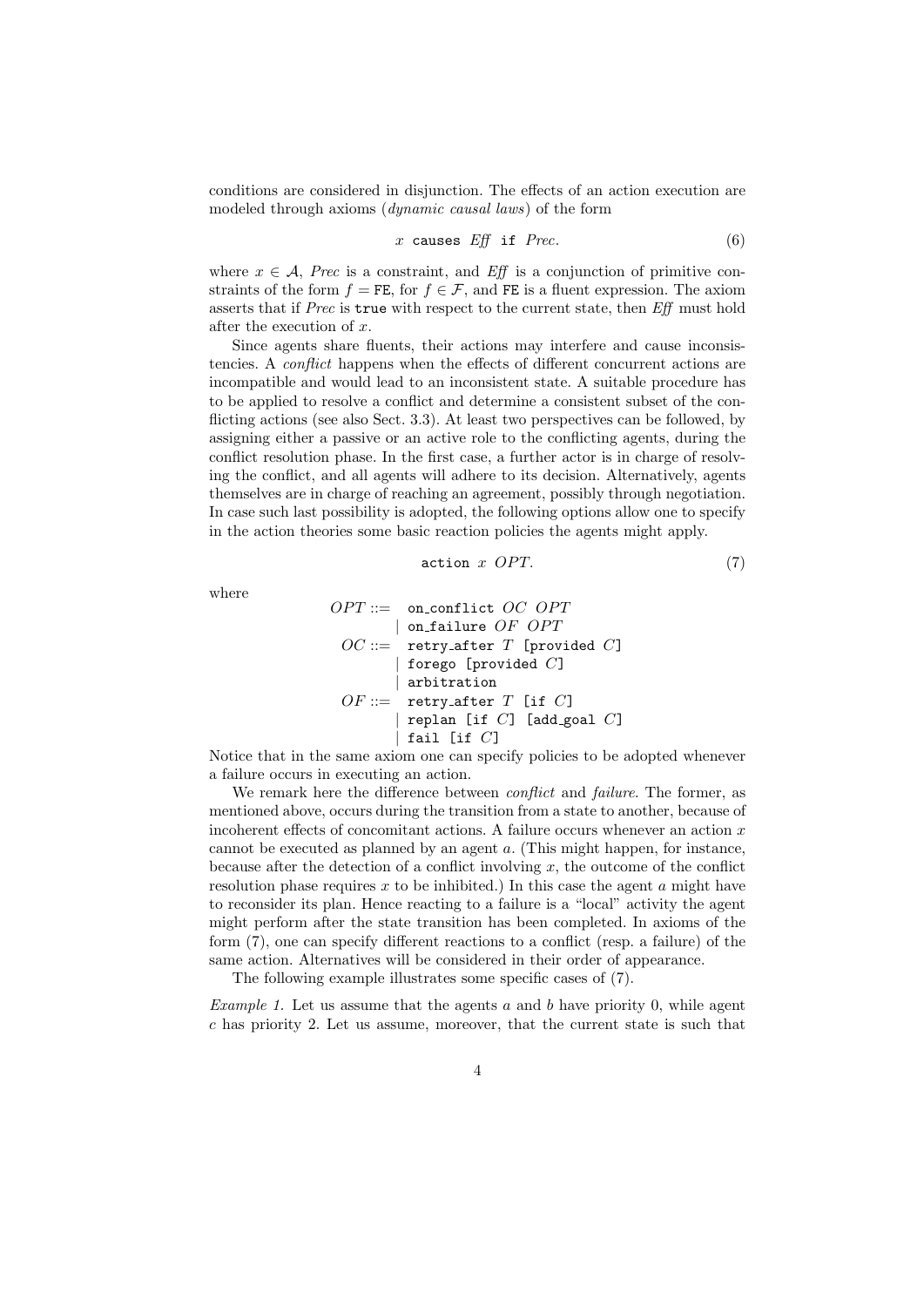conditions are considered in disjunction. The effects of an action execution are modeled through axioms (*dynamic causal laws*) of the form

$$
x \text{ causes } Eff \text{ if } \text{Prec.} \tag{6}
$$

where  $x \in A$ , *Prec* is a constraint, and *Eff* is a conjunction of primitive constraints of the form  $f = FE$ , for  $f \in \mathcal{F}$ , and FE is a fluent expression. The axiom asserts that if *Prec* is true with respect to the current state, then *Eff* must hold after the execution of *x*.

Since agents share fluents, their actions may interfere and cause inconsistencies. A *conflict* happens when the effects of different concurrent actions are incompatible and would lead to an inconsistent state. A suitable procedure has to be applied to resolve a conflict and determine a consistent subset of the conflicting actions (see also Sect. 3.3). At least two perspectives can be followed, by assigning either a passive or an active role to the conflicting agents, during the conflict resolution phase. In the first case, a further actor is in charge of resolving the conflict, and all agents will adhere to its decision. Alternatively, agents themselves are in charge of reaching an agreement, possibly through negotiation. In case such last possibility is adopted, the following options allow one to specify in the action theories some basic reaction policies the agents might apply.

$$
\text{action } x \text{ } OPT. \tag{7}
$$

where

$$
OPT ::= \begin{array}{ll}\n OPT ::= & \text{on\_conflict } OC \ OPT \\
 & | & \text{on-failure } OF \ OPT \\
 \hline\n OC ::= & \text{retry\_after } T \ [\text{provided } C] \\
 & | & \text{forego } [\text{provided } C] \\
 \hline\n OF ::= & \text{retry\_after } T \ [\text{if } C] \\
 & | & \text{replan } [\text{if } C] \ [\text{add\_goal } C] \\
 & | & \text{fail } [\text{if } C]\n \end{array}
$$

Notice that in the same axiom one can specify policies to be adopted whenever a failure occurs in executing an action.

We remark here the difference between *conflict* and *failure*. The former, as mentioned above, occurs during the transition from a state to another, because of incoherent effects of concomitant actions. A failure occurs whenever an action *x* cannot be executed as planned by an agent *a*. (This might happen, for instance, because after the detection of a conflict involving *x*, the outcome of the conflict resolution phase requires *x* to be inhibited.) In this case the agent *a* might have to reconsider its plan. Hence reacting to a failure is a "local" activity the agent might perform after the state transition has been completed. In axioms of the form (7), one can specify different reactions to a conflict (resp. a failure) of the same action. Alternatives will be considered in their order of appearance.

The following example illustrates some specific cases of (7).

*Example 1.* Let us assume that the agents *a* and *b* have priority 0, while agent *c* has priority 2. Let us assume, moreover, that the current state is such that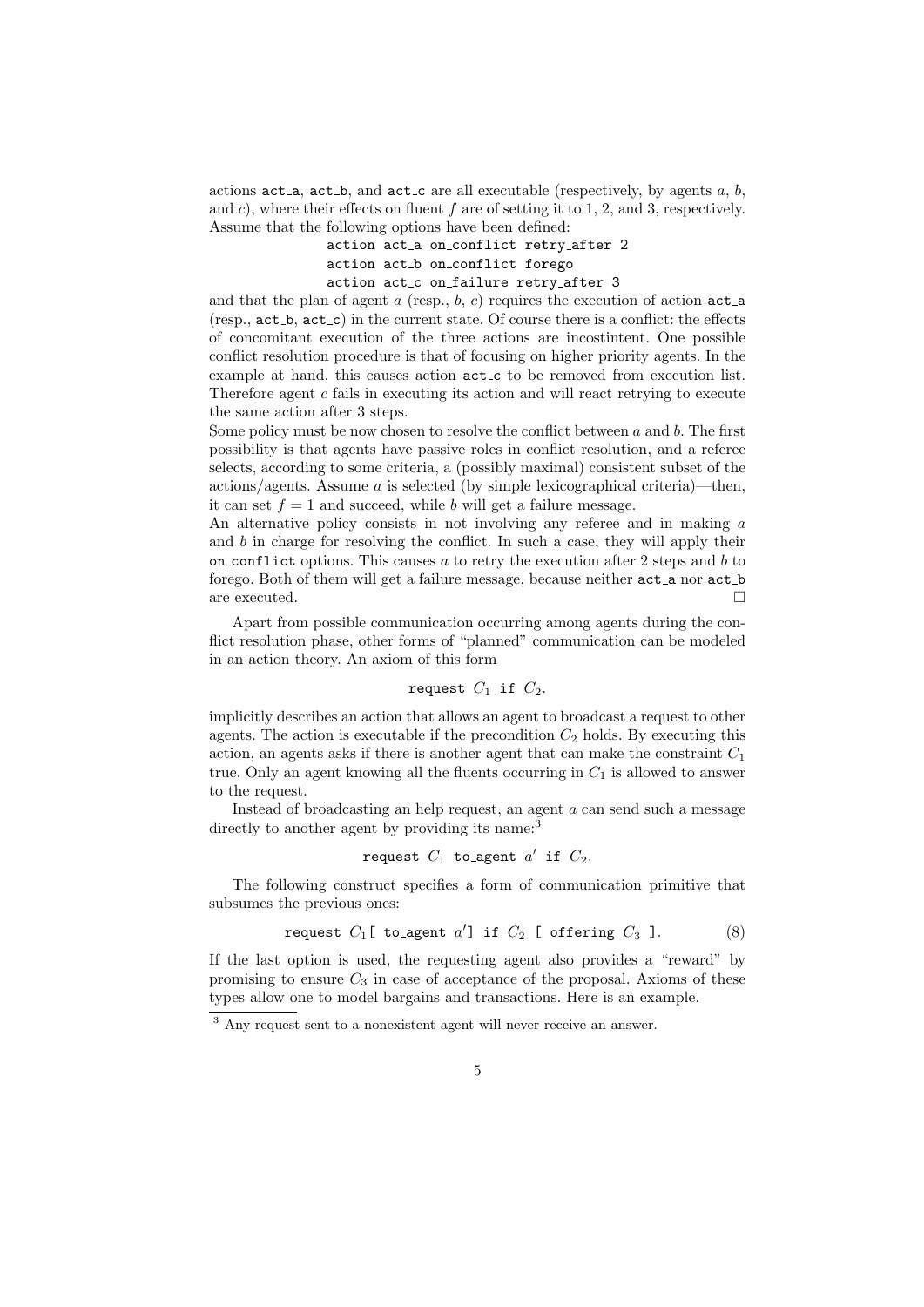actions  $act_a$ ,  $act_b$ , and  $act_c$  are all executable (respectively, by agents  $a, b$ , and *c*), where their effects on fluent *f* are of setting it to 1, 2, and 3, respectively. Assume that the following options have been defined:

```
action act a on conflict retry after 2
action act_b on_conflict forego
action act_c on_failure retry_after 3
```
and that the plan of agent  $a$  (resp.,  $b, c$ ) requires the execution of action  $act_a$ ( $resp., \texttt{act_b}, \texttt{act_c}$ ) in the current state. Of course there is a conflict: the effects of concomitant execution of the three actions are incostintent. One possible conflict resolution procedure is that of focusing on higher priority agents. In the example at hand, this causes action  $act_c$  to be removed from execution list. Therefore agent *c* fails in executing its action and will react retrying to execute the same action after 3 steps.

Some policy must be now chosen to resolve the conflict between *a* and *b*. The first possibility is that agents have passive roles in conflict resolution, and a referee selects, according to some criteria, a (possibly maximal) consistent subset of the actions/agents. Assume *a* is selected (by simple lexicographical criteria)—then, it can set  $f = 1$  and succeed, while *b* will get a failure message.

An alternative policy consists in not involving any referee and in making *a* and *b* in charge for resolving the conflict. In such a case, they will apply their on conflict options. This causes *a* to retry the execution after 2 steps and *b* to forego. Both of them will get a failure message, because neither act\_a nor act\_b are executed.

Apart from possible communication occurring among agents during the conflict resolution phase, other forms of "planned" communication can be modeled in an action theory. An axiom of this form

## request  $C_1$  if  $C_2$ .

implicitly describes an action that allows an agent to broadcast a request to other agents. The action is executable if the precondition  $C_2$  holds. By executing this action, an agents asks if there is another agent that can make the constraint *C*<sup>1</sup> true. Only an agent knowing all the fluents occurring in  $C_1$  is allowed to answer to the request.

Instead of broadcasting an help request, an agent *a* can send such a message directly to another agent by providing its name:<sup>3</sup>

### $r$  equest  $C_1$  to agent  $a'$  if  $C_2$ .

The following construct specifies a form of communication primitive that subsumes the previous ones:

request 
$$
C_1
$$
[ to agent a'] if  $C_2$  [ offering  $C_3$ ]. (8)

If the last option is used, the requesting agent also provides a "reward" by promising to ensure  $C_3$  in case of acceptance of the proposal. Axioms of these types allow one to model bargains and transactions. Here is an example.

<sup>3</sup> Any request sent to a nonexistent agent will never receive an answer.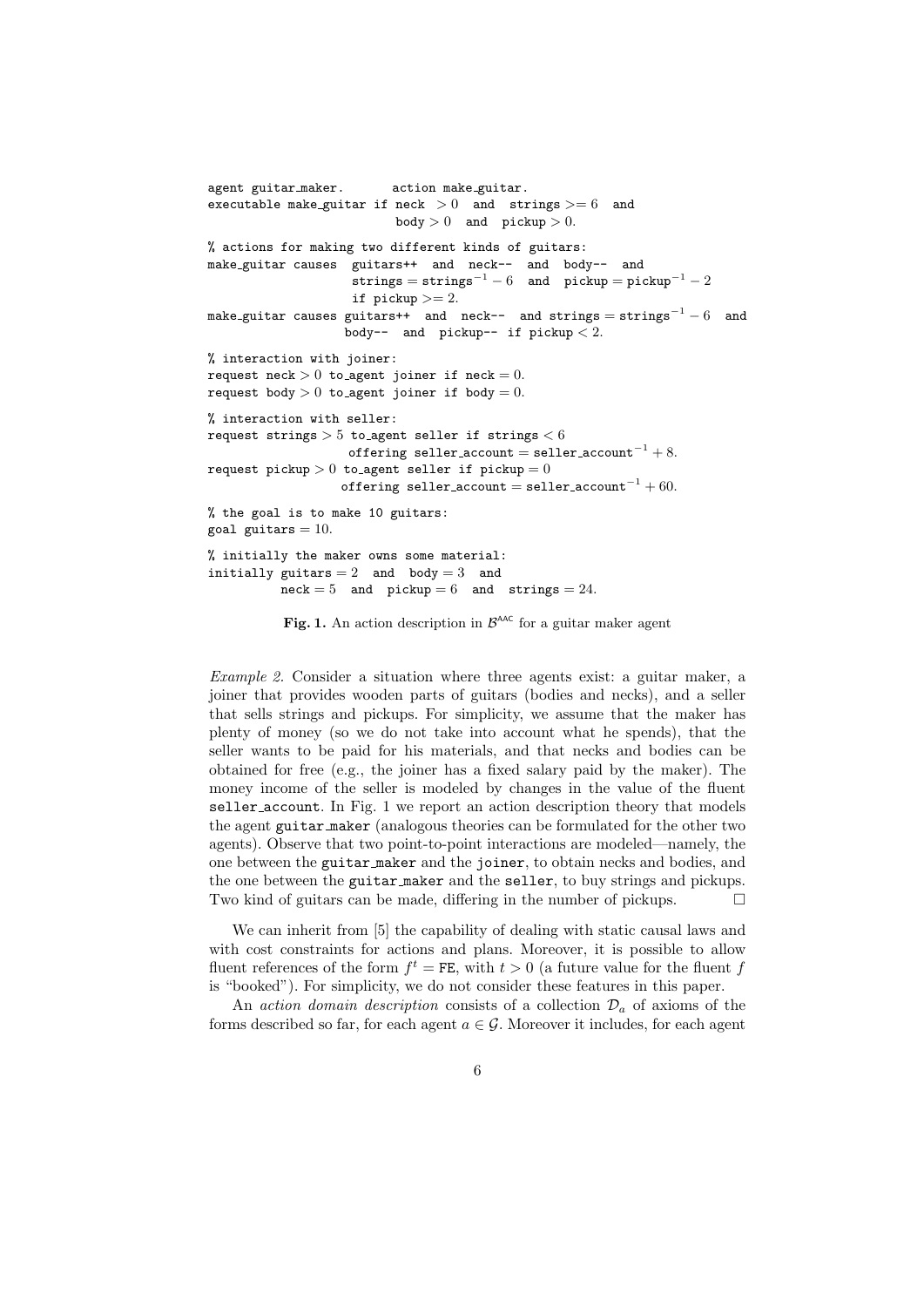```
agent guitar_maker. action make_guitar.
executable make guitar if neck > 0 and strings >= 6 and
                          body > 0 and picture > 0.
% actions for making two different kinds of guitars:
make guitar causes guitars++ and neck-- and body-- and
                    strings = strings<sup>-1</sup> - 6 and picture = pickup<sup>-1</sup> - 2if pickup >= 2.
make guitar causes guitars++ and neck-- and strings = strings−1 − 6 and
                   body-- and pickup-- if pickup < 2.
% interaction with joiner:
request neck > 0 to agent joiner if neck = 0.
request body > 0 to agent joiner if body = 0.
% interaction with seller:
request strings > 5 to agent seller if strings < 6
                    offering seller account = seller account−1 + 8.
request pickup > 0 to agent seller if pickup = 0offering seller account = seller account−1 + 60.
% the goal is to make 10 guitars:
goal guitars = 10.
% initially the maker owns some material:
initially guitars = 2 and body = 3 and
          \text{neck} = 5 and \text{pickup} = 6 and \text{strings} = 24.
```
**Fig. 1.** An action description in  $\mathcal{B}^{\text{AAC}}$  for a guitar maker agent

*Example 2.* Consider a situation where three agents exist: a guitar maker, a joiner that provides wooden parts of guitars (bodies and necks), and a seller that sells strings and pickups. For simplicity, we assume that the maker has plenty of money (so we do not take into account what he spends), that the seller wants to be paid for his materials, and that necks and bodies can be obtained for free (e.g., the joiner has a fixed salary paid by the maker). The money income of the seller is modeled by changes in the value of the fluent seller\_account. In Fig. 1 we report an action description theory that models the agent guitar maker (analogous theories can be formulated for the other two agents). Observe that two point-to-point interactions are modeled—namely, the one between the guitar maker and the joiner, to obtain necks and bodies, and the one between the guitar maker and the seller, to buy strings and pickups. Two kind of guitars can be made, differing in the number of pickups.  $\Box$ 

We can inherit from [5] the capability of dealing with static causal laws and with cost constraints for actions and plans. Moreover, it is possible to allow fluent references of the form  $f^t = \texttt{FE}$ , with  $t > 0$  (a future value for the fluent  $f$ is "booked"). For simplicity, we do not consider these features in this paper.

An *action domain description* consists of a collection  $\mathcal{D}_a$  of axioms of the forms described so far, for each agent  $a \in \mathcal{G}$ . Moreover it includes, for each agent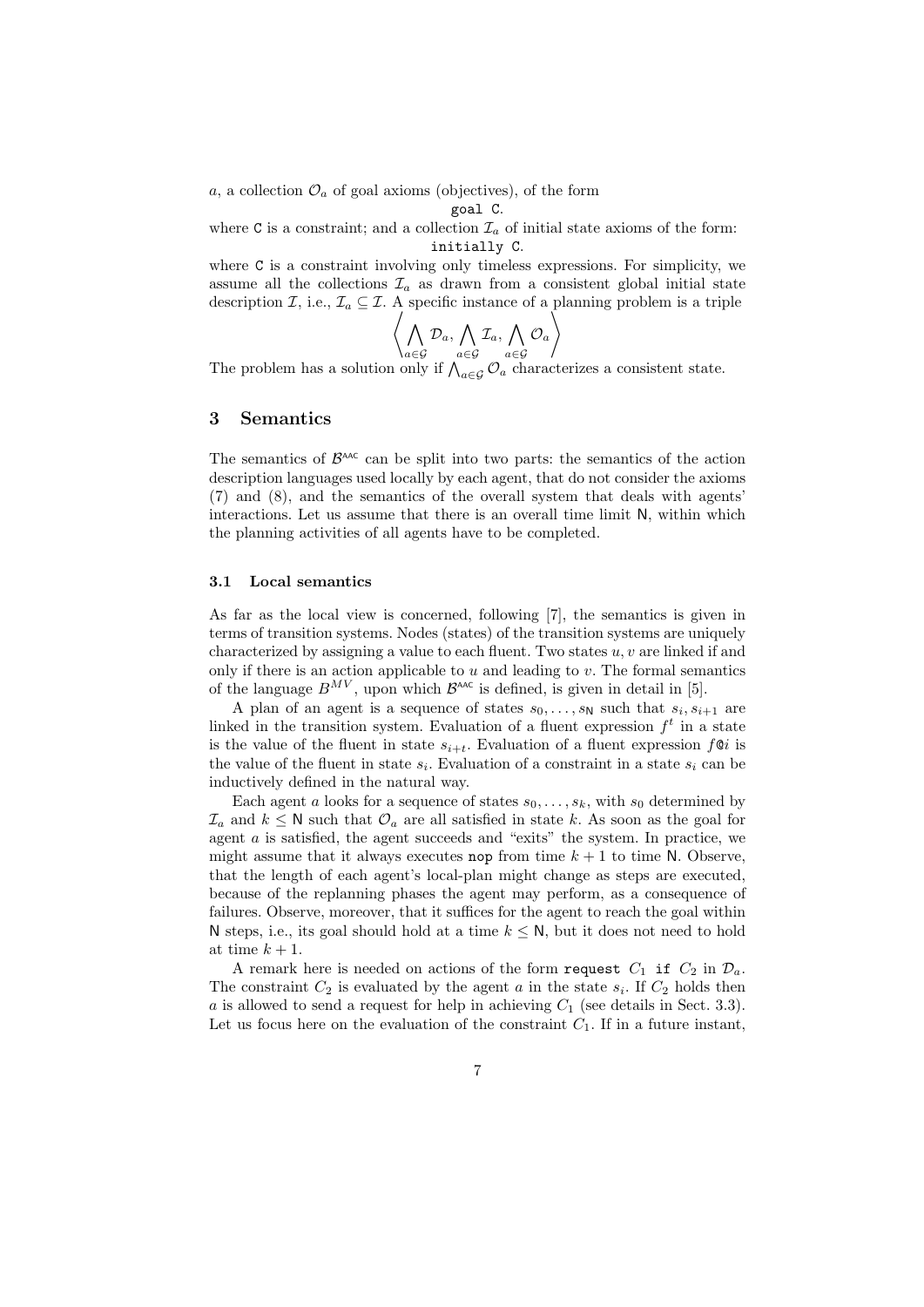$a$ , a collection  $\mathcal{O}_a$  of goal axioms (objectives), of the form

goal C*.*

where C is a constraint; and a collection  $\mathcal{I}_a$  of initial state axioms of the form: initially C*.*

where C is a constraint involving only timeless expressions. For simplicity, we assume all the collections  $\mathcal{I}_a$  as drawn from a consistent global initial state description *I*, i.e.,  $\mathcal{I}_a \subseteq \mathcal{I}$ . A specific instance of a planning problem is a triple

$$
\left\langle \bigwedge_{a \in \mathcal{G}} \mathcal{D}_a, \bigwedge_{a \in \mathcal{G}} \mathcal{I}_a, \bigwedge_{a \in \mathcal{G}} \mathcal{O}_a \right\rangle
$$

The problem has a solution only if  $\bigwedge_{a \in \mathcal{G}} a \in \mathcal{G}$  *a* characterizes a consistent state.

## **3 Semantics**

The semantics of  $\mathcal{B}^{\text{AAC}}$  can be split into two parts: the semantics of the action description languages used locally by each agent, that do not consider the axioms (7) and (8), and the semantics of the overall system that deals with agents' interactions. Let us assume that there is an overall time limit N, within which the planning activities of all agents have to be completed.

#### **3.1 Local semantics**

As far as the local view is concerned, following [7], the semantics is given in terms of transition systems. Nodes (states) of the transition systems are uniquely characterized by assigning a value to each fluent. Two states *u, v* are linked if and only if there is an action applicable to *u* and leading to *v*. The formal semantics of the language  $B^{MV}$ , upon which  $B^{AAC}$  is defined, is given in detail in [5].

A plan of an agent is a sequence of states  $s_0, \ldots, s_N$  such that  $s_i, s_{i+1}$  are linked in the transition system. Evaluation of a fluent expression *f t* in a state is the value of the fluent in state  $s_{i+t}$ . Evaluation of a fluent expression  $f \mathcal{Q} i$  is the value of the fluent in state  $s_i$ . Evaluation of a constraint in a state  $s_i$  can be inductively defined in the natural way.

Each agent *a* looks for a sequence of states  $s_0, \ldots, s_k$ , with  $s_0$  determined by  $\mathcal{I}_a$  and  $k \leq \mathbb{N}$  such that  $\mathcal{O}_a$  are all satisfied in state *k*. As soon as the goal for agent *a* is satisfied, the agent succeeds and "exits" the system. In practice, we might assume that it always executes nop from time  $k+1$  to time N. Observe, that the length of each agent's local-plan might change as steps are executed, because of the replanning phases the agent may perform, as a consequence of failures. Observe, moreover, that it suffices for the agent to reach the goal within N steps, i.e., its goal should hold at a time  $k \leq N$ , but it does not need to hold at time  $k+1$ .

A remark here is needed on actions of the form request  $C_1$  if  $C_2$  in  $\mathcal{D}_a$ . The constraint  $C_2$  is evaluated by the agent  $a$  in the state  $s_i$ . If  $C_2$  holds then *a* is allowed to send a request for help in achieving  $C_1$  (see details in Sect. 3.3). Let us focus here on the evaluation of the constraint  $C_1$ . If in a future instant,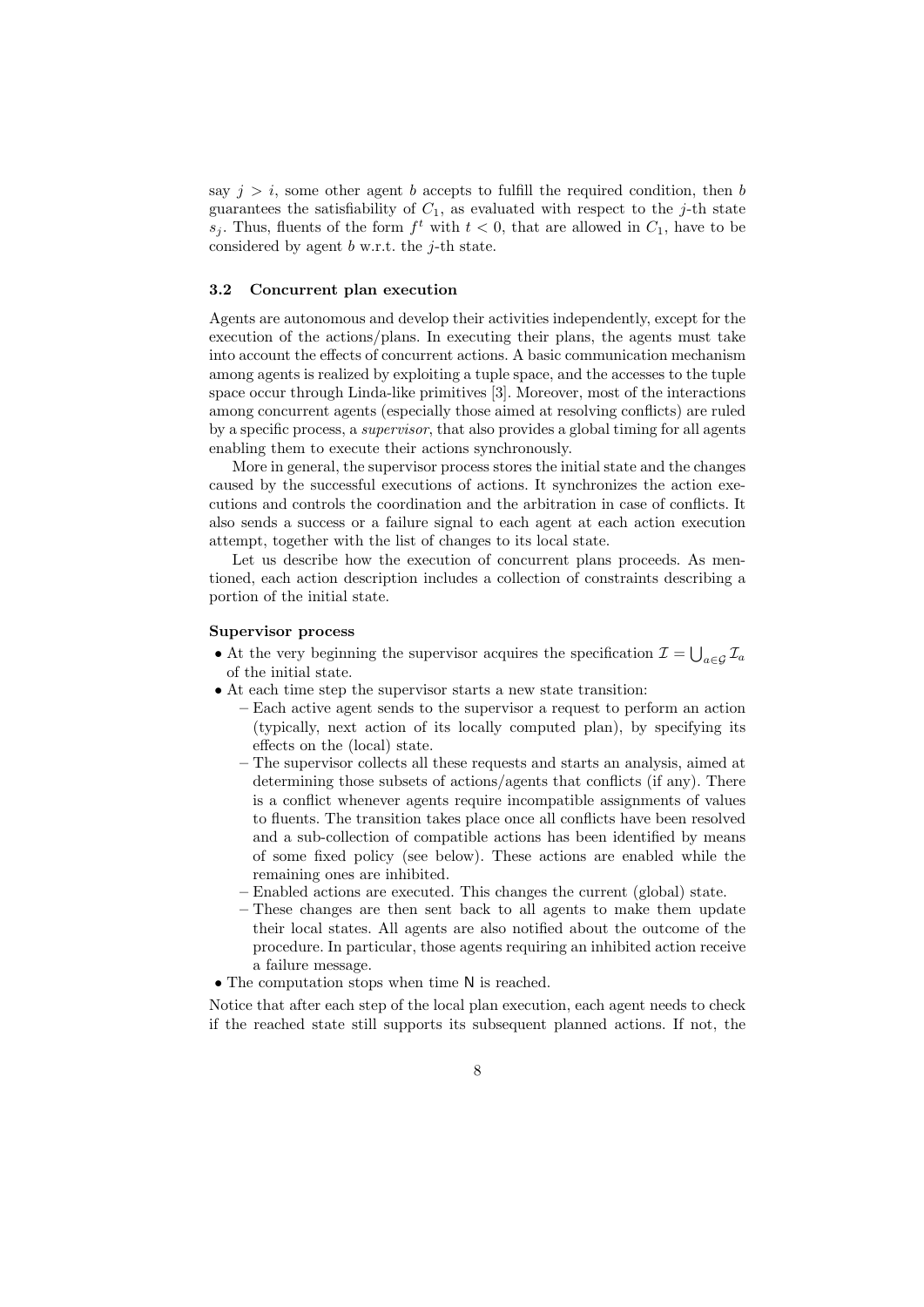say  $j > i$ , some other agent *b* accepts to fulfill the required condition, then *b* guarantees the satisfiability of  $C_1$ , as evaluated with respect to the *j*-th state *s*<sup>*j*</sup>. Thus, fluents of the form  $f^t$  with  $t < 0$ , that are allowed in  $C_1$ , have to be considered by agent *b* w.r.t. the *j*-th state.

#### **3.2 Concurrent plan execution**

Agents are autonomous and develop their activities independently, except for the execution of the actions/plans. In executing their plans, the agents must take into account the effects of concurrent actions. A basic communication mechanism among agents is realized by exploiting a tuple space, and the accesses to the tuple space occur through Linda-like primitives [3]. Moreover, most of the interactions among concurrent agents (especially those aimed at resolving conflicts) are ruled by a specific process, a *supervisor*, that also provides a global timing for all agents enabling them to execute their actions synchronously.

More in general, the supervisor process stores the initial state and the changes caused by the successful executions of actions. It synchronizes the action executions and controls the coordination and the arbitration in case of conflicts. It also sends a success or a failure signal to each agent at each action execution attempt, together with the list of changes to its local state.

Let us describe how the execution of concurrent plans proceeds. As mentioned, each action description includes a collection of constraints describing a portion of the initial state.

#### **Supervisor process**

- At the very beginning the supervisor acquires the specification  $\mathcal{I} = \bigcup_{a \in \mathcal{G}} \mathcal{I}_a$ of the initial state.
- *•* At each time step the supervisor starts a new state transition:
	- **–** Each active agent sends to the supervisor a request to perform an action (typically, next action of its locally computed plan), by specifying its effects on the (local) state.
	- **–** The supervisor collects all these requests and starts an analysis, aimed at determining those subsets of actions/agents that conflicts (if any). There is a conflict whenever agents require incompatible assignments of values to fluents. The transition takes place once all conflicts have been resolved and a sub-collection of compatible actions has been identified by means of some fixed policy (see below). These actions are enabled while the remaining ones are inhibited.
	- **–** Enabled actions are executed. This changes the current (global) state.
	- **–** These changes are then sent back to all agents to make them update their local states. All agents are also notified about the outcome of the procedure. In particular, those agents requiring an inhibited action receive a failure message.
- The computation stops when time N is reached.

Notice that after each step of the local plan execution, each agent needs to check if the reached state still supports its subsequent planned actions. If not, the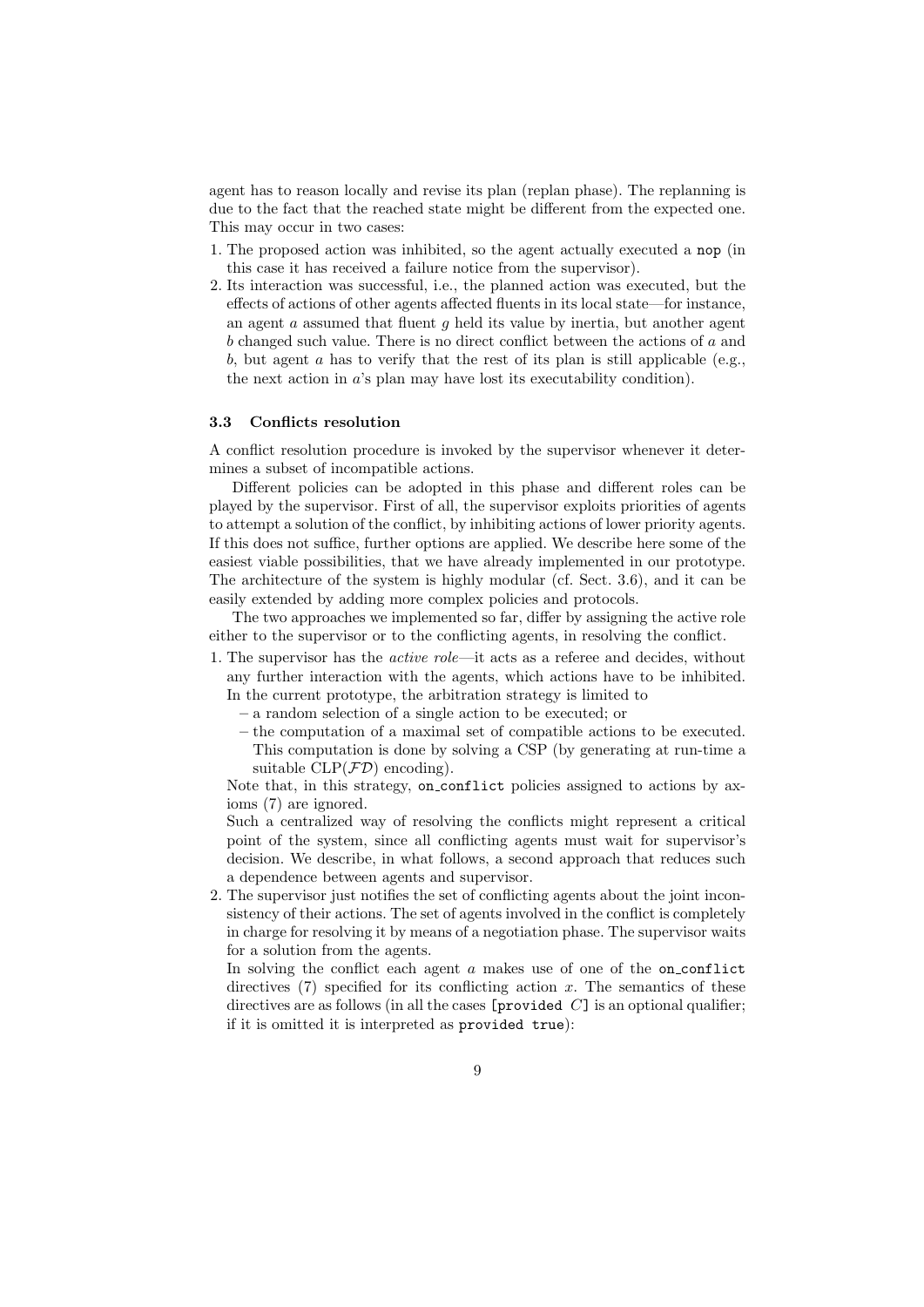agent has to reason locally and revise its plan (replan phase). The replanning is due to the fact that the reached state might be different from the expected one. This may occur in two cases:

- 1. The proposed action was inhibited, so the agent actually executed a nop (in this case it has received a failure notice from the supervisor).
- 2. Its interaction was successful, i.e., the planned action was executed, but the effects of actions of other agents affected fluents in its local state—for instance, an agent *a* assumed that fluent *g* held its value by inertia, but another agent *b* changed such value. There is no direct conflict between the actions of *a* and *b*, but agent *a* has to verify that the rest of its plan is still applicable (e.g., the next action in *a*'s plan may have lost its executability condition).

#### **3.3 Conflicts resolution**

A conflict resolution procedure is invoked by the supervisor whenever it determines a subset of incompatible actions.

Different policies can be adopted in this phase and different roles can be played by the supervisor. First of all, the supervisor exploits priorities of agents to attempt a solution of the conflict, by inhibiting actions of lower priority agents. If this does not suffice, further options are applied. We describe here some of the easiest viable possibilities, that we have already implemented in our prototype. The architecture of the system is highly modular (cf. Sect. 3.6), and it can be easily extended by adding more complex policies and protocols.

The two approaches we implemented so far, differ by assigning the active role either to the supervisor or to the conflicting agents, in resolving the conflict.

- 1. The supervisor has the *active role*—it acts as a referee and decides, without any further interaction with the agents, which actions have to be inhibited. In the current prototype, the arbitration strategy is limited to
	- **–** a random selection of a single action to be executed; or
	- **–** the computation of a maximal set of compatible actions to be executed. This computation is done by solving a CSP (by generating at run-time a suitable  $CLP(\mathcal{FD})$  encoding).

Note that, in this strategy, on conflict policies assigned to actions by axioms (7) are ignored.

Such a centralized way of resolving the conflicts might represent a critical point of the system, since all conflicting agents must wait for supervisor's decision. We describe, in what follows, a second approach that reduces such a dependence between agents and supervisor.

2. The supervisor just notifies the set of conflicting agents about the joint inconsistency of their actions. The set of agents involved in the conflict is completely in charge for resolving it by means of a negotiation phase. The supervisor waits for a solution from the agents.

In solving the conflict each agent *a* makes use of one of the on conflict directives (7) specified for its conflicting action x. The semantics of these directives are as follows (in all the cases [provided *C*] is an optional qualifier; if it is omitted it is interpreted as provided true):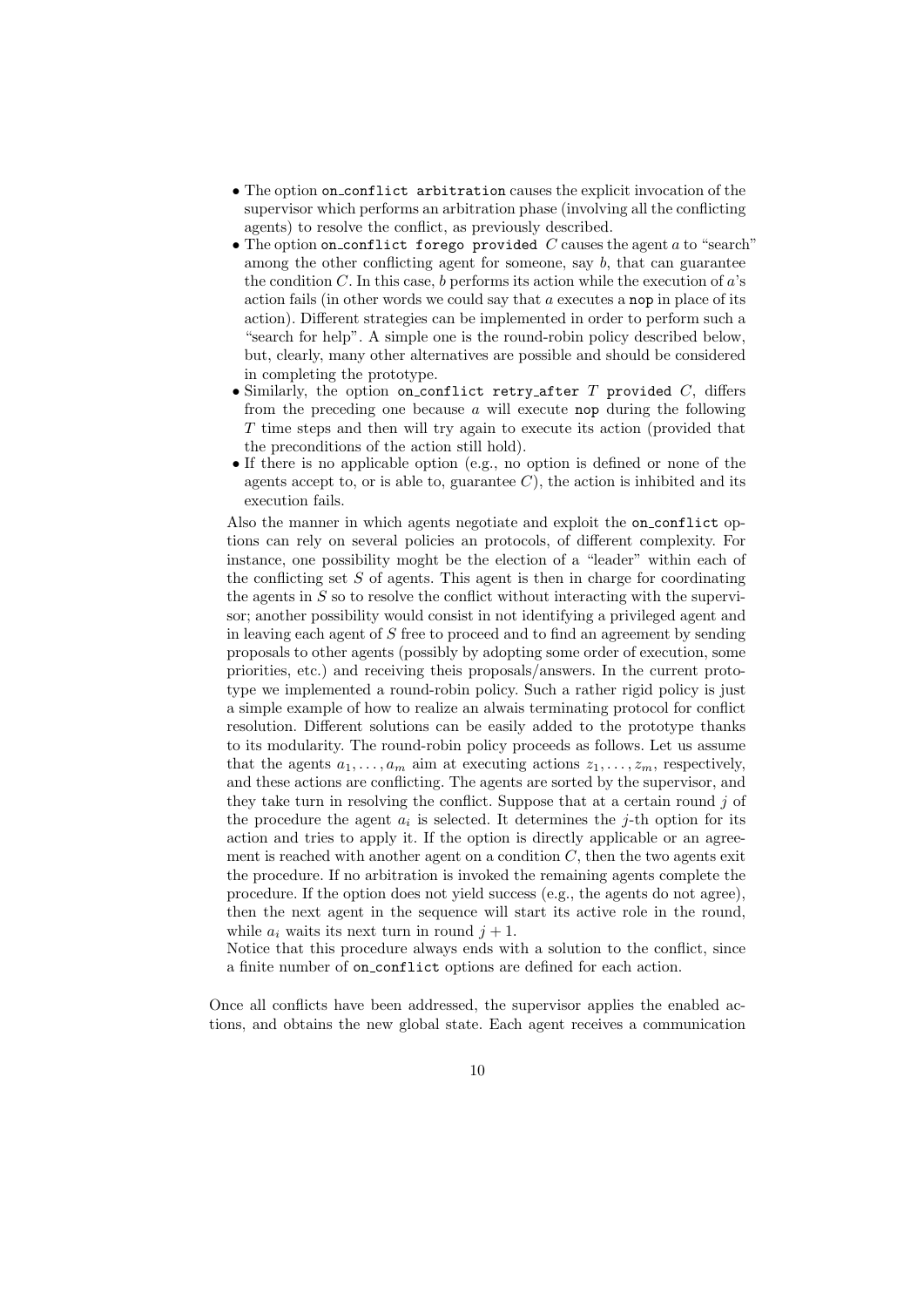- The option on conflict arbitration causes the explicit invocation of the supervisor which performs an arbitration phase (involving all the conflicting agents) to resolve the conflict, as previously described.
- *•* The option on conflict forego provided *C* causes the agent *a* to "search" among the other conflicting agent for someone, say *b*, that can guarantee the condition *C*. In this case, *b* performs its action while the execution of *a*'s action fails (in other words we could say that *a* executes a nop in place of its action). Different strategies can be implemented in order to perform such a "search for help". A simple one is the round-robin policy described below, but, clearly, many other alternatives are possible and should be considered in completing the prototype.
- *•* Similarly, the option on conflict retry after *T* provided *C*, differs from the preceding one because *a* will execute nop during the following *T* time steps and then will try again to execute its action (provided that the preconditions of the action still hold).
- If there is no applicable option (e.g., no option is defined or none of the agents accept to, or is able to, guarantee  $C$ ), the action is inhibited and its execution fails.

Also the manner in which agents negotiate and exploit the on conflict options can rely on several policies an protocols, of different complexity. For instance, one possibility moght be the election of a "leader" within each of the conflicting set *S* of agents. This agent is then in charge for coordinating the agents in *S* so to resolve the conflict without interacting with the supervisor; another possibility would consist in not identifying a privileged agent and in leaving each agent of *S* free to proceed and to find an agreement by sending proposals to other agents (possibly by adopting some order of execution, some priorities, etc.) and receiving theis proposals/answers. In the current prototype we implemented a round-robin policy. Such a rather rigid policy is just a simple example of how to realize an alwais terminating protocol for conflict resolution. Different solutions can be easily added to the prototype thanks to its modularity. The round-robin policy proceeds as follows. Let us assume that the agents  $a_1, \ldots, a_m$  aim at executing actions  $z_1, \ldots, z_m$ , respectively, and these actions are conflicting. The agents are sorted by the supervisor, and they take turn in resolving the conflict. Suppose that at a certain round *j* of the procedure the agent  $a_i$  is selected. It determines the  $j$ -th option for its action and tries to apply it. If the option is directly applicable or an agreement is reached with another agent on a condition *C*, then the two agents exit the procedure. If no arbitration is invoked the remaining agents complete the procedure. If the option does not yield success (e.g., the agents do not agree), then the next agent in the sequence will start its active role in the round, while  $a_i$  waits its next turn in round  $j + 1$ .

Notice that this procedure always ends with a solution to the conflict, since a finite number of on conflict options are defined for each action.

Once all conflicts have been addressed, the supervisor applies the enabled actions, and obtains the new global state. Each agent receives a communication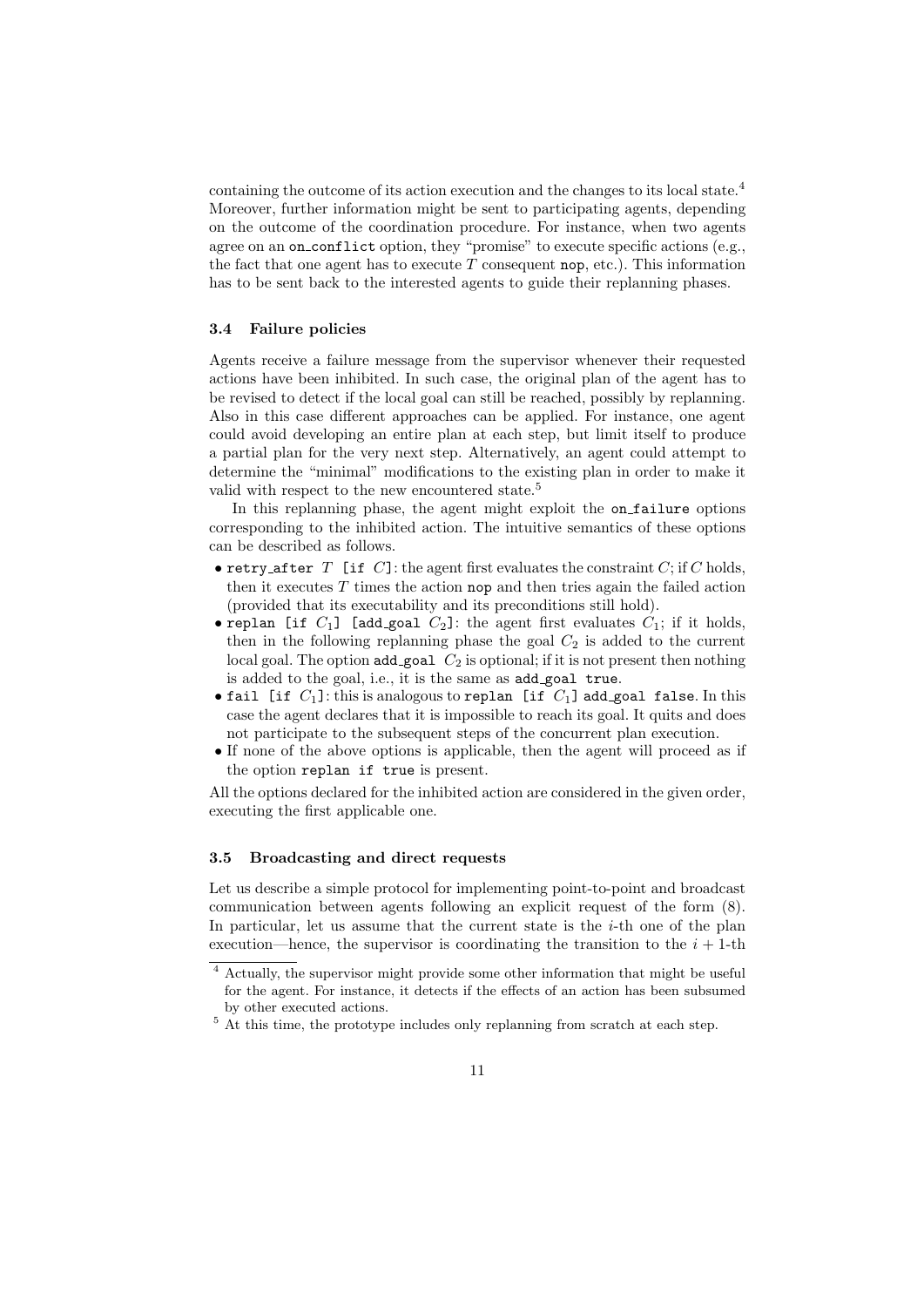containing the outcome of its action execution and the changes to its local state.<sup>4</sup> Moreover, further information might be sent to participating agents, depending on the outcome of the coordination procedure. For instance, when two agents agree on an on\_conflict option, they "promise" to execute specific actions (e.g., the fact that one agent has to execute  $T$  consequent nop, etc.). This information has to be sent back to the interested agents to guide their replanning phases.

#### **3.4 Failure policies**

Agents receive a failure message from the supervisor whenever their requested actions have been inhibited. In such case, the original plan of the agent has to be revised to detect if the local goal can still be reached, possibly by replanning. Also in this case different approaches can be applied. For instance, one agent could avoid developing an entire plan at each step, but limit itself to produce a partial plan for the very next step. Alternatively, an agent could attempt to determine the "minimal" modifications to the existing plan in order to make it valid with respect to the new encountered state.<sup>5</sup>

In this replanning phase, the agent might exploit the on failure options corresponding to the inhibited action. The intuitive semantics of these options can be described as follows.

- retry\_after *T* [if *C*]: the agent first evaluates the constraint *C*; if *C* holds, then it executes *T* times the action nop and then tries again the failed action (provided that its executability and its preconditions still hold).
- replan [if  $C_1$ ] [add\_goal  $C_2$ ]: the agent first evaluates  $C_1$ ; if it holds, then in the following replanning phase the goal  $C_2$  is added to the current local goal. The option add\_goal  $C_2$  is optional; if it is not present then nothing is added to the goal, i.e., it is the same as add goal true.
- *•* fail [if *C*1]: this is analogous to replan [if *C*1] add goal false. In this case the agent declares that it is impossible to reach its goal. It quits and does not participate to the subsequent steps of the concurrent plan execution.
- If none of the above options is applicable, then the agent will proceed as if the option replan if true is present.

All the options declared for the inhibited action are considered in the given order, executing the first applicable one.

## **3.5 Broadcasting and direct requests**

Let us describe a simple protocol for implementing point-to-point and broadcast communication between agents following an explicit request of the form (8). In particular, let us assume that the current state is the *i*-th one of the plan execution—hence, the supervisor is coordinating the transition to the  $i + 1$ -th

<sup>4</sup> Actually, the supervisor might provide some other information that might be useful for the agent. For instance, it detects if the effects of an action has been subsumed by other executed actions.

 $5$  At this time, the prototype includes only replanning from scratch at each step.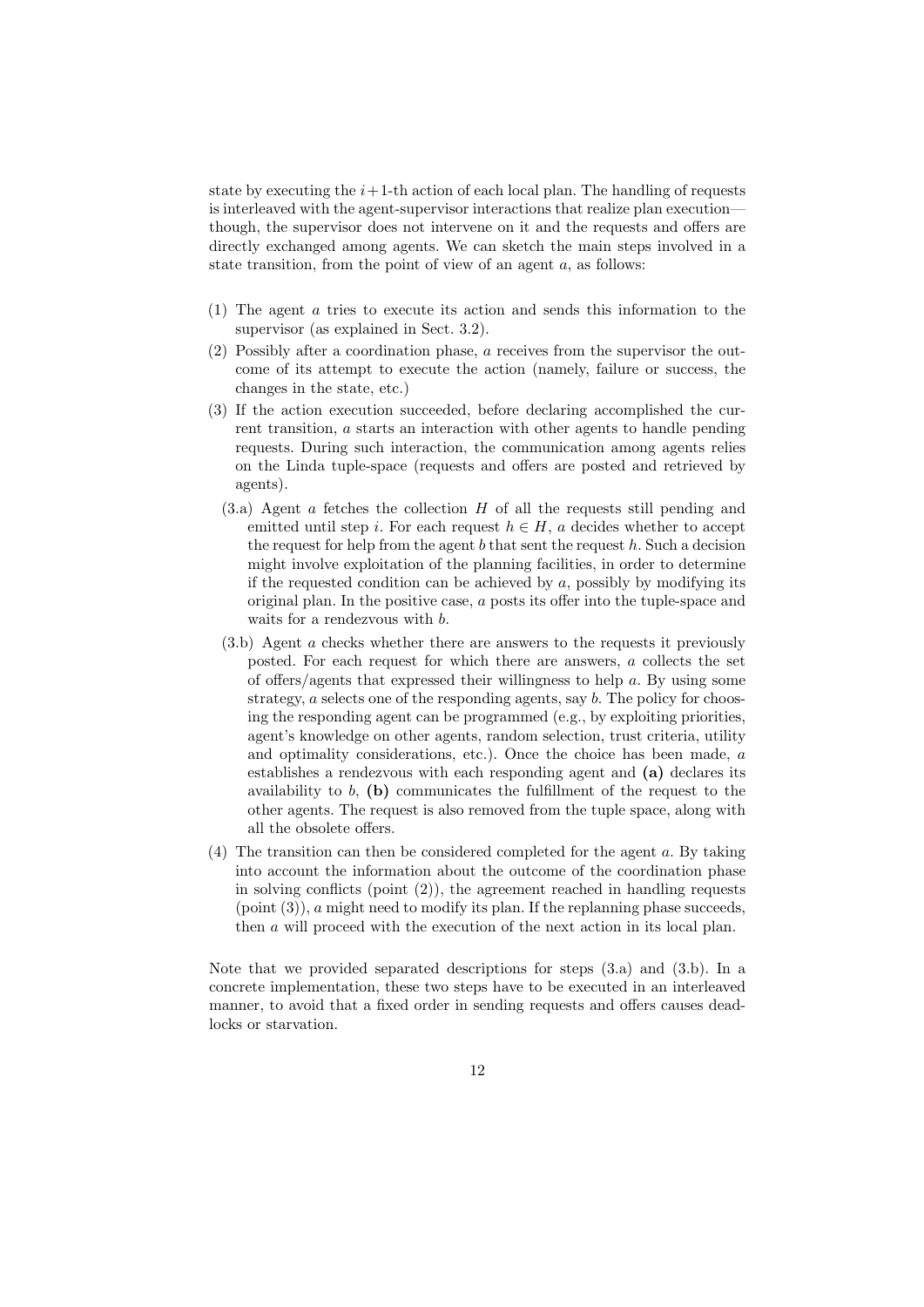state by executing the  $i+1$ -th action of each local plan. The handling of requests is interleaved with the agent-supervisor interactions that realize plan execution though, the supervisor does not intervene on it and the requests and offers are directly exchanged among agents. We can sketch the main steps involved in a state transition, from the point of view of an agent *a*, as follows:

- (1) The agent *a* tries to execute its action and sends this information to the supervisor (as explained in Sect. 3.2).
- (2) Possibly after a coordination phase, *a* receives from the supervisor the outcome of its attempt to execute the action (namely, failure or success, the changes in the state, etc.)
- (3) If the action execution succeeded, before declaring accomplished the current transition, *a* starts an interaction with other agents to handle pending requests. During such interaction, the communication among agents relies on the Linda tuple-space (requests and offers are posted and retrieved by agents).
	- (3.a) Agent *a* fetches the collection *H* of all the requests still pending and emitted until step *i*. For each request  $h \in H$ , *a* decides whether to accept the request for help from the agent *b* that sent the request *h*. Such a decision might involve exploitation of the planning facilities, in order to determine if the requested condition can be achieved by *a*, possibly by modifying its original plan. In the positive case, *a* posts its offer into the tuple-space and waits for a rendezvous with *b*.
	- (3.b) Agent *a* checks whether there are answers to the requests it previously posted. For each request for which there are answers, *a* collects the set of offers/agents that expressed their willingness to help *a*. By using some strategy, *a* selects one of the responding agents, say *b*. The policy for choosing the responding agent can be programmed (e.g., by exploiting priorities, agent's knowledge on other agents, random selection, trust criteria, utility and optimality considerations, etc.). Once the choice has been made, *a* establishes a rendezvous with each responding agent and **(a)** declares its availability to *b*, **(b)** communicates the fulfillment of the request to the other agents. The request is also removed from the tuple space, along with all the obsolete offers.
- (4) The transition can then be considered completed for the agent *a*. By taking into account the information about the outcome of the coordination phase in solving conflicts (point (2)), the agreement reached in handling requests (point (3)), *a* might need to modify its plan. If the replanning phase succeeds, then *a* will proceed with the execution of the next action in its local plan.

Note that we provided separated descriptions for steps (3.a) and (3.b). In a concrete implementation, these two steps have to be executed in an interleaved manner, to avoid that a fixed order in sending requests and offers causes deadlocks or starvation.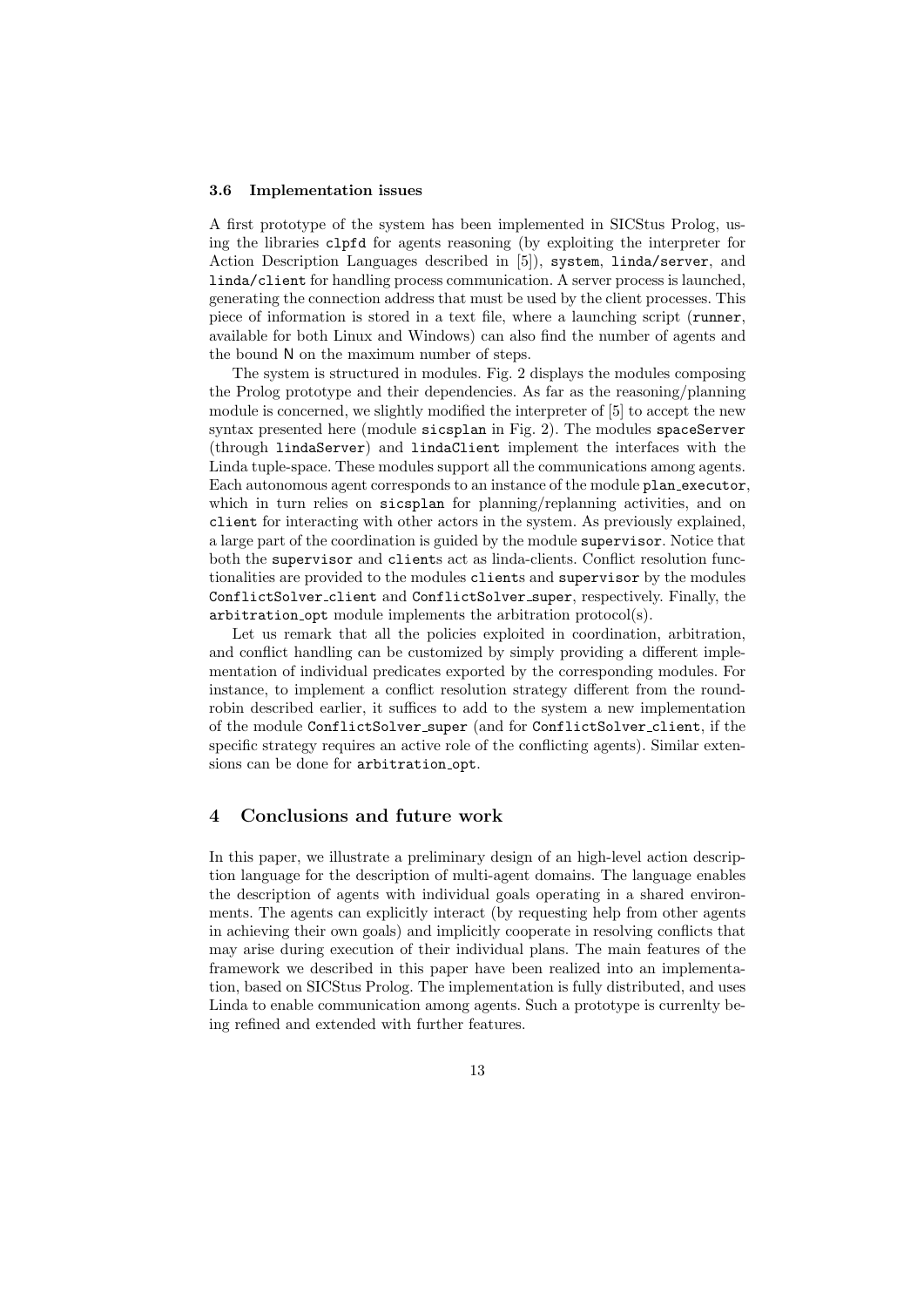#### **3.6 Implementation issues**

A first prototype of the system has been implemented in SICStus Prolog, using the libraries clpfd for agents reasoning (by exploiting the interpreter for Action Description Languages described in [5]), system, linda/server, and linda/client for handling process communication. A server process is launched, generating the connection address that must be used by the client processes. This piece of information is stored in a text file, where a launching script (runner, available for both Linux and Windows) can also find the number of agents and the bound N on the maximum number of steps.

The system is structured in modules. Fig. 2 displays the modules composing the Prolog prototype and their dependencies. As far as the reasoning/planning module is concerned, we slightly modified the interpreter of [5] to accept the new syntax presented here (module sicsplan in Fig. 2). The modules spaceServer (through lindaServer) and lindaClient implement the interfaces with the Linda tuple-space. These modules support all the communications among agents. Each autonomous agent corresponds to an instance of the module plan executor, which in turn relies on sicsplan for planning/replanning activities, and on client for interacting with other actors in the system. As previously explained, a large part of the coordination is guided by the module supervisor. Notice that both the supervisor and clients act as linda-clients. Conflict resolution functionalities are provided to the modules clients and supervisor by the modules ConflictSolver client and ConflictSolver super, respectively. Finally, the arbitration opt module implements the arbitration protocol(s).

Let us remark that all the policies exploited in coordination, arbitration, and conflict handling can be customized by simply providing a different implementation of individual predicates exported by the corresponding modules. For instance, to implement a conflict resolution strategy different from the roundrobin described earlier, it suffices to add to the system a new implementation of the module ConflictSolver super (and for ConflictSolver client, if the specific strategy requires an active role of the conflicting agents). Similar extensions can be done for arbitration opt.

## **4 Conclusions and future work**

In this paper, we illustrate a preliminary design of an high-level action description language for the description of multi-agent domains. The language enables the description of agents with individual goals operating in a shared environments. The agents can explicitly interact (by requesting help from other agents in achieving their own goals) and implicitly cooperate in resolving conflicts that may arise during execution of their individual plans. The main features of the framework we described in this paper have been realized into an implementation, based on SICStus Prolog. The implementation is fully distributed, and uses Linda to enable communication among agents. Such a prototype is currenlty being refined and extended with further features.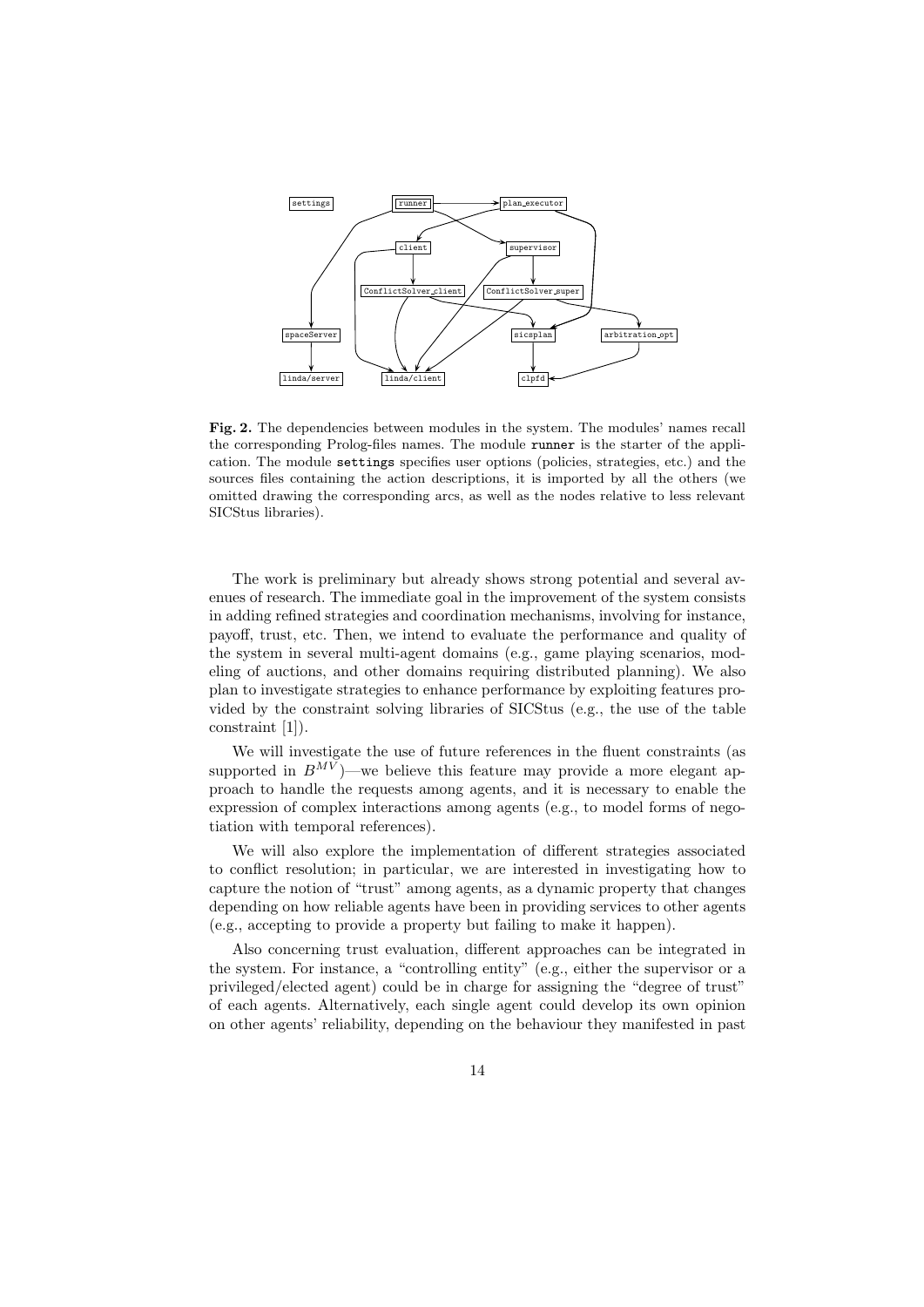

**Fig. 2.** The dependencies between modules in the system. The modules' names recall the corresponding Prolog-files names. The module runner is the starter of the application. The module settings specifies user options (policies, strategies, etc.) and the sources files containing the action descriptions, it is imported by all the others (we omitted drawing the corresponding arcs, as well as the nodes relative to less relevant SICStus libraries).

The work is preliminary but already shows strong potential and several avenues of research. The immediate goal in the improvement of the system consists in adding refined strategies and coordination mechanisms, involving for instance, payoff, trust, etc. Then, we intend to evaluate the performance and quality of the system in several multi-agent domains (e.g., game playing scenarios, modeling of auctions, and other domains requiring distributed planning). We also plan to investigate strategies to enhance performance by exploiting features provided by the constraint solving libraries of SICStus (e.g., the use of the table constraint [1]).

We will investigate the use of future references in the fluent constraints (as supported in  $B^{MV}$ )—we believe this feature may provide a more elegant approach to handle the requests among agents, and it is necessary to enable the expression of complex interactions among agents (e.g., to model forms of negotiation with temporal references).

We will also explore the implementation of different strategies associated to conflict resolution; in particular, we are interested in investigating how to capture the notion of "trust" among agents, as a dynamic property that changes depending on how reliable agents have been in providing services to other agents (e.g., accepting to provide a property but failing to make it happen).

Also concerning trust evaluation, different approaches can be integrated in the system. For instance, a "controlling entity" (e.g., either the supervisor or a privileged/elected agent) could be in charge for assigning the "degree of trust" of each agents. Alternatively, each single agent could develop its own opinion on other agents' reliability, depending on the behaviour they manifested in past